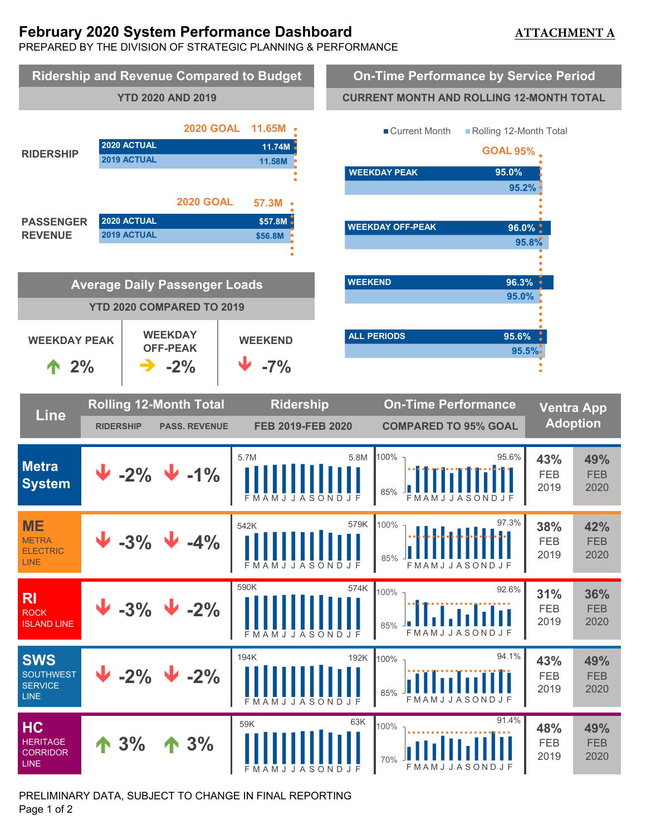# **February 2020 System Performance Dashboard**

# **ATTACHMENT A**

PREPARED BY THE DIVISION OF STRATEGIC PLANNING & PERFORMANCE



PRELIMINARY DATA, SUBJECT TO CHANGE IN FINAL REPORTING Page 1 of 2